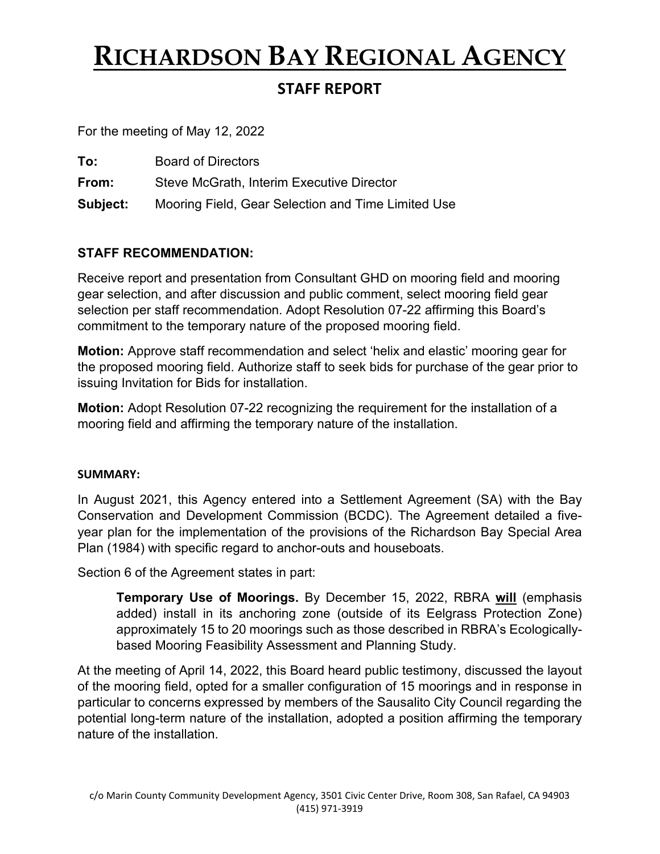## **RICHARDSON BAY REGIONAL AGENCY STAFF REPORT**

For the meeting of May 12, 2022

| To: | <b>Board of Directors</b> |
|-----|---------------------------|
|     |                           |

**From:** Steve McGrath, Interim Executive Director

**Subject:** Mooring Field, Gear Selection and Time Limited Use

## **STAFF RECOMMENDATION:**

Receive report and presentation from Consultant GHD on mooring field and mooring gear selection, and after discussion and public comment, select mooring field gear selection per staff recommendation. Adopt Resolution 07-22 affirming this Board's commitment to the temporary nature of the proposed mooring field.

**Motion:** Approve staff recommendation and select 'helix and elastic' mooring gear for the proposed mooring field. Authorize staff to seek bids for purchase of the gear prior to issuing Invitation for Bids for installation.

**Motion:** Adopt Resolution 07-22 recognizing the requirement for the installation of a mooring field and affirming the temporary nature of the installation.

## **SUMMARY:**

In August 2021, this Agency entered into a Settlement Agreement (SA) with the Bay Conservation and Development Commission (BCDC). The Agreement detailed a fiveyear plan for the implementation of the provisions of the Richardson Bay Special Area Plan (1984) with specific regard to anchor-outs and houseboats.

Section 6 of the Agreement states in part:

**Temporary Use of Moorings.** By December 15, 2022, RBRA **will** (emphasis added) install in its anchoring zone (outside of its Eelgrass Protection Zone) approximately 15 to 20 moorings such as those described in RBRA's Ecologicallybased Mooring Feasibility Assessment and Planning Study.

At the meeting of April 14, 2022, this Board heard public testimony, discussed the layout of the mooring field, opted for a smaller configuration of 15 moorings and in response in particular to concerns expressed by members of the Sausalito City Council regarding the potential long-term nature of the installation, adopted a position affirming the temporary nature of the installation.